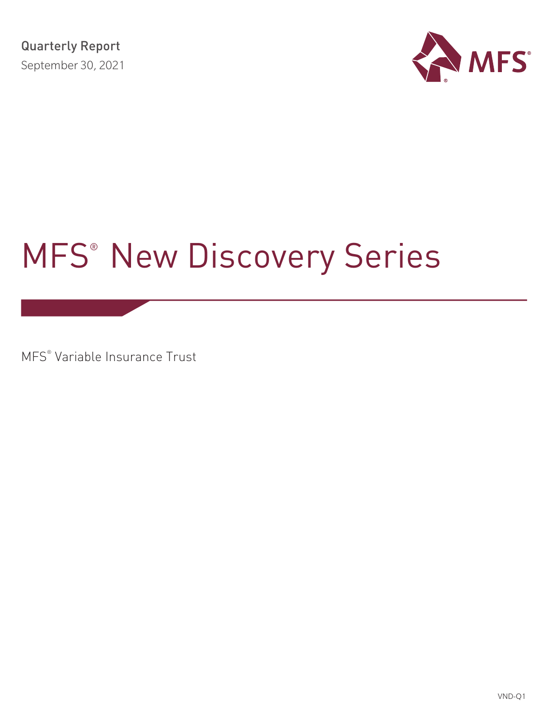

# MFS® New Discovery Series

MFS® Variable Insurance Trust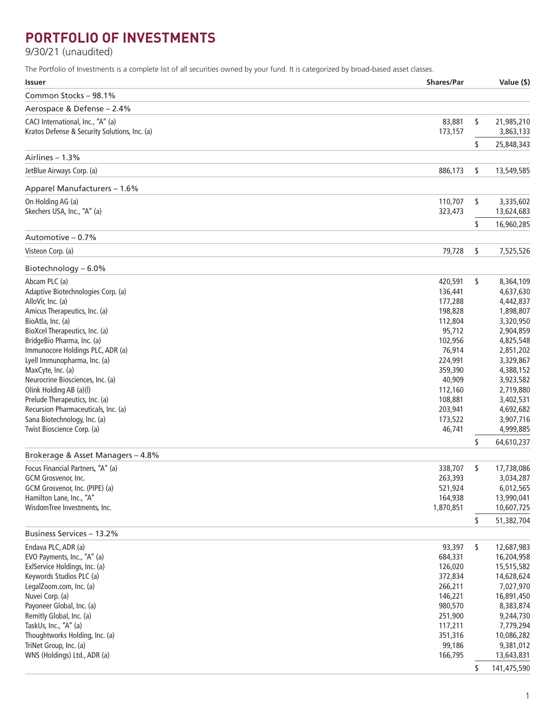# **PORTFOLIO OF INVESTMENTS**

9/30/21 (unaudited)

The Portfolio of Investments is a complete list of all securities owned by your fund. It is categorized by broad-based asset classes.

| <b>Issuer</b>                                                         | <b>Shares/Par</b>  | Value (\$)              |
|-----------------------------------------------------------------------|--------------------|-------------------------|
| Common Stocks - 98.1%                                                 |                    |                         |
| Aerospace & Defense - 2.4%                                            |                    |                         |
| CACI International, Inc., "A" (a)                                     | 83,881             | \$<br>21,985,210        |
| Kratos Defense & Security Solutions, Inc. (a)                         | 173,157            | 3,863,133               |
|                                                                       |                    | \$<br>25,848,343        |
| Airlines - 1.3%                                                       |                    |                         |
| JetBlue Airways Corp. (a)                                             | 886,173            | \$<br>13,549,585        |
| Apparel Manufacturers - 1.6%                                          |                    |                         |
| On Holding AG (a)                                                     | 110,707            | \$<br>3,335,602         |
| Skechers USA, Inc., "A" (a)                                           | 323,473            | 13,624,683              |
|                                                                       |                    | \$<br>16,960,285        |
| Automotive - 0.7%                                                     |                    |                         |
| Visteon Corp. (a)                                                     | 79,728             | \$<br>7,525,526         |
| Biotechnology - 6.0%                                                  |                    |                         |
| Abcam PLC (a)                                                         | 420,591            | \$<br>8,364,109         |
| Adaptive Biotechnologies Corp. (a)                                    | 136,441            | 4,637,630               |
| AlloVir, Inc. (a)                                                     | 177,288            | 4,442,837               |
| Amicus Therapeutics, Inc. (a)                                         | 198,828            | 1,898,807               |
| BioAtla, Inc. (a)                                                     | 112,804            | 3,320,950               |
| BioXcel Therapeutics, Inc. (a)                                        | 95,712             | 2,904,859               |
| BridgeBio Pharma, Inc. (a)                                            | 102,956            | 4,825,548               |
| Immunocore Holdings PLC, ADR (a)                                      | 76,914             | 2,851,202               |
| Lyell Immunopharma, Inc. (a)                                          | 224,991            | 3,329,867               |
| MaxCyte, Inc. (a)                                                     | 359,390            | 4,388,152               |
| Neurocrine Biosciences, Inc. (a)                                      | 40,909             | 3,923,582               |
| Olink Holding AB (a)(l)                                               | 112,160            | 2,719,880               |
| Prelude Therapeutics, Inc. (a)<br>Recursion Pharmaceuticals, Inc. (a) | 108,881            | 3,402,531               |
| Sana Biotechnology, Inc. (a)                                          | 203,941<br>173,522 | 4,692,682<br>3,907,716  |
| Twist Bioscience Corp. (a)                                            | 46,741             | 4,999,885               |
|                                                                       |                    | \$<br>64,610,237        |
| Brokerage & Asset Managers - 4.8%                                     |                    |                         |
| Focus Financial Partners, "A" (a)                                     | 338,707            | \$<br>17,738,086        |
| GCM Grosvenor, Inc.                                                   | 263,393            | 3,034,287               |
| GCM Grosvenor, Inc. (PIPE) (a)                                        | 521,924            | 6,012,565               |
| Hamilton Lane, Inc., "A"                                              | 164,938            | 13,990,041              |
| WisdomTree Investments, Inc.                                          | 1,870,851          | 10,607,725              |
|                                                                       |                    | \$<br>51,382,704        |
| Business Services - 13.2%                                             |                    |                         |
| Endava PLC, ADR (a)                                                   | 93,397             | \$<br>12,687,983        |
| EVO Payments, Inc., "A" (a)                                           | 684,331            | 16,204,958              |
| ExlService Holdings, Inc. (a)                                         | 126,020            | 15,515,582              |
| Keywords Studios PLC (a)                                              | 372,834            | 14,628,624              |
| LegalZoom.com, Inc. (a)                                               | 266,211            | 7,027,970               |
| Nuvei Corp. (a)                                                       | 146,221            | 16,891,450              |
| Payoneer Global, Inc. (a)                                             | 980,570            | 8,383,874               |
| Remitly Global, Inc. (a)                                              | 251,900            | 9,244,730               |
| TaskUs, Inc., "A" (a)                                                 | 117,211            | 7,779,294               |
| Thoughtworks Holding, Inc. (a)                                        | 351,316            | 10,086,282              |
| TriNet Group, Inc. (a)<br>WNS (Holdings) Ltd., ADR (a)                | 99,186<br>166,795  | 9,381,012<br>13,643,831 |
|                                                                       |                    |                         |
|                                                                       |                    | \$<br>141,475,590       |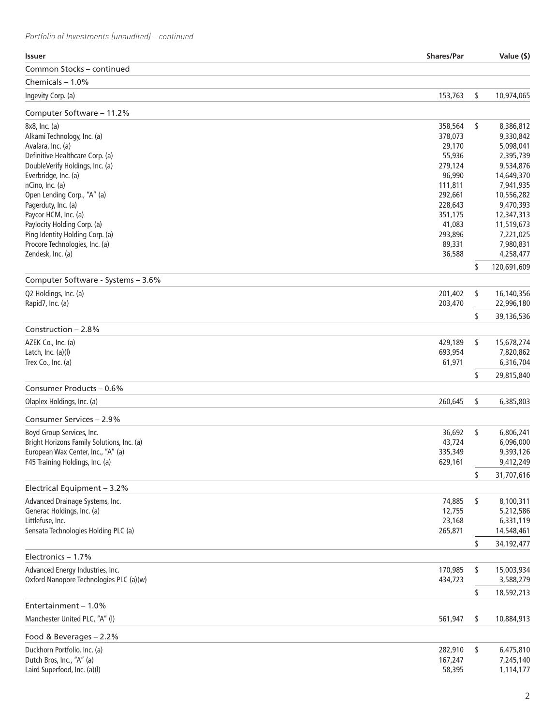| <b>Issuer</b>                              | <b>Shares/Par</b> | Value (\$)        |
|--------------------------------------------|-------------------|-------------------|
| Common Stocks – continued                  |                   |                   |
| Chemicals $-1.0%$                          |                   |                   |
| Ingevity Corp. (a)                         | 153,763           | \$<br>10,974,065  |
| Computer Software - 11.2%                  |                   |                   |
| 8x8, Inc. (a)                              | 358,564           | \$<br>8,386,812   |
| Alkami Technology, Inc. (a)                | 378,073           | 9,330,842         |
| Avalara, Inc. (a)                          | 29,170            | 5,098,041         |
| Definitive Healthcare Corp. (a)            | 55,936            | 2,395,739         |
| DoubleVerify Holdings, Inc. (a)            | 279,124           | 9,534,876         |
| Everbridge, Inc. (a)                       | 96,990            | 14,649,370        |
| nCino, Inc. (a)                            | 111,811           | 7,941,935         |
| Open Lending Corp., "A" (a)                | 292,661           | 10,556,282        |
| Pagerduty, Inc. (a)                        | 228,643           | 9,470,393         |
| Paycor HCM, Inc. (a)                       | 351,175           | 12,347,313        |
| Paylocity Holding Corp. (a)                | 41,083            | 11,519,673        |
| Ping Identity Holding Corp. (a)            | 293,896           | 7,221,025         |
| Procore Technologies, Inc. (a)             | 89,331            | 7,980,831         |
| Zendesk, Inc. (a)                          | 36,588            | 4,258,477         |
|                                            |                   | \$<br>120,691,609 |
| Computer Software - Systems - 3.6%         |                   |                   |
| Q2 Holdings, Inc. (a)                      | 201,402           | \$<br>16,140,356  |
| Rapid7, Inc. (a)                           | 203,470           | 22,996,180        |
| Construction $-2.8%$                       |                   | \$<br>39,136,536  |
| AZEK Co., Inc. (a)                         | 429,189           | \$<br>15,678,274  |
| Latch, Inc. (a)(l)                         | 693,954           | 7,820,862         |
| Trex Co., Inc. (a)                         | 61,971            | 6,316,704         |
|                                            |                   | \$<br>29,815,840  |
| Consumer Products - 0.6%                   |                   |                   |
| Olaplex Holdings, Inc. (a)                 | 260,645           | \$<br>6,385,803   |
| Consumer Services - 2.9%                   |                   |                   |
| Boyd Group Services, Inc.                  | 36,692            | \$<br>6,806,241   |
| Bright Horizons Family Solutions, Inc. (a) | 43,724            | 6,096,000         |
| European Wax Center, Inc., "A" (a)         | 335,349           | 9,393,126         |
| F45 Training Holdings, Inc. (a)            | 629,161           | 9,412,249         |
|                                            |                   | \$<br>31,707,616  |
| Electrical Equipment - 3.2%                |                   |                   |
| Advanced Drainage Systems, Inc.            | 74,885            | \$<br>8,100,311   |
| Generac Holdings, Inc. (a)                 | 12,755            | 5,212,586         |
| Littlefuse, Inc.                           | 23,168            | 6,331,119         |
| Sensata Technologies Holding PLC (a)       | 265,871           | 14,548,461        |
|                                            |                   | \$<br>34,192,477  |
| Electronics - 1.7%                         |                   |                   |
| Advanced Energy Industries, Inc.           | 170,985           | \$<br>15,003,934  |
| Oxford Nanopore Technologies PLC (a)(w)    | 434,723           | 3,588,279         |
|                                            |                   | \$<br>18,592,213  |
| Entertainment - 1.0%                       |                   |                   |
| Manchester United PLC, "A" (I)             | 561,947           | \$<br>10,884,913  |
| Food & Beverages - 2.2%                    |                   |                   |
| Duckhorn Portfolio, Inc. (a)               | 282,910           | \$<br>6,475,810   |
| Dutch Bros, Inc., "A" (a)                  | 167,247           | 7,245,140         |
| Laird Superfood, Inc. (a)(l)               | 58,395            | 1,114,177         |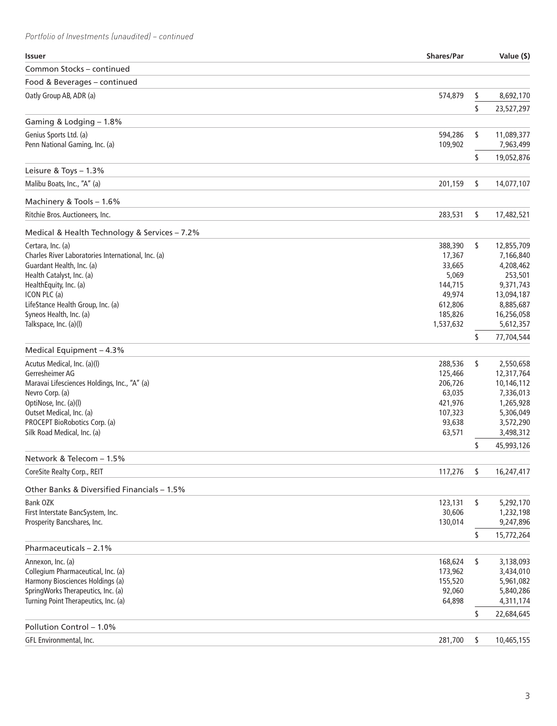*Portfolio of Investments (unaudited) – continued*

| <b>Issuer</b>                                          | <b>Shares/Par</b> |    | Value (\$)           |
|--------------------------------------------------------|-------------------|----|----------------------|
| Common Stocks - continued                              |                   |    |                      |
| Food & Beverages - continued                           |                   |    |                      |
| Oatly Group AB, ADR (a)                                | 574,879           | S  | 8,692,170            |
|                                                        |                   | \$ | 23,527,297           |
| Gaming & Lodging - 1.8%                                |                   |    |                      |
| Genius Sports Ltd. (a)                                 | 594,286           | \$ | 11,089,377           |
| Penn National Gaming, Inc. (a)                         | 109,902           |    | 7,963,499            |
|                                                        |                   | \$ | 19,052,876           |
| Leisure & Toys - 1.3%                                  |                   |    |                      |
| Malibu Boats, Inc., "A" (a)                            | 201,159           | \$ | 14,077,107           |
| Machinery & Tools - 1.6%                               |                   |    |                      |
| Ritchie Bros. Auctioneers, Inc.                        | 283,531           | \$ | 17,482,521           |
|                                                        |                   |    |                      |
| Medical & Health Technology & Services - 7.2%          |                   |    |                      |
| Certara, Inc. (a)                                      | 388,390           | \$ | 12,855,709           |
| Charles River Laboratories International, Inc. (a)     | 17,367<br>33,665  |    | 7,166,840            |
| Guardant Health, Inc. (a)<br>Health Catalyst, Inc. (a) | 5,069             |    | 4,208,462            |
| HealthEquity, Inc. (a)                                 | 144,715           |    | 253,501<br>9,371,743 |
| ICON PLC (a)                                           | 49,974            |    | 13,094,187           |
| LifeStance Health Group, Inc. (a)                      | 612,806           |    | 8,885,687            |
| Syneos Health, Inc. (a)                                | 185,826           |    | 16,256,058           |
| Talkspace, Inc. (a)(l)                                 | 1,537,632         |    | 5,612,357            |
|                                                        |                   | \$ | 77,704,544           |
| Medical Equipment - 4.3%                               |                   |    |                      |
| Acutus Medical, Inc. (a)(l)                            | 288,536           | \$ | 2,550,658            |
| Gerresheimer AG                                        | 125,466           |    | 12,317,764           |
| Maravai Lifesciences Holdings, Inc., "A" (a)           | 206,726           |    | 10,146,112           |
| Nevro Corp. (a)                                        | 63,035            |    | 7,336,013            |
| OptiNose, Inc. (a)(l)                                  | 421,976           |    | 1,265,928            |
| Outset Medical, Inc. (a)                               | 107,323           |    | 5,306,049            |
| PROCEPT BioRobotics Corp. (a)                          | 93,638            |    | 3,572,290            |
| Silk Road Medical, Inc. (a)                            | 63,571            |    | 3,498,312            |
|                                                        |                   | \$ | 45,993,126           |
| Network & Telecom - 1.5%                               |                   |    |                      |
| CoreSite Realty Corp., REIT                            | 117,276           | \$ | 16,247,417           |
| Other Banks & Diversified Financials - 1.5%            |                   |    |                      |
| <b>Bank OZK</b>                                        | 123,131           | \$ | 5,292,170            |
| First Interstate BancSystem, Inc.                      | 30,606            |    | 1,232,198            |
| Prosperity Bancshares, Inc.                            | 130,014           |    | 9,247,896            |
|                                                        |                   | \$ | 15,772,264           |
| Pharmaceuticals - 2.1%                                 |                   |    |                      |
| Annexon, Inc. (a)                                      | 168,624           | \$ | 3,138,093            |
| Collegium Pharmaceutical, Inc. (a)                     | 173,962           |    | 3,434,010            |
| Harmony Biosciences Holdings (a)                       | 155,520           |    | 5,961,082            |
| SpringWorks Therapeutics, Inc. (a)                     | 92,060            |    | 5,840,286            |
| Turning Point Therapeutics, Inc. (a)                   | 64,898            |    | 4,311,174            |
|                                                        |                   | \$ | 22,684,645           |
| Pollution Control - 1.0%                               |                   |    |                      |
| GFL Environmental, Inc.                                | 281,700           | \$ | 10,465,155           |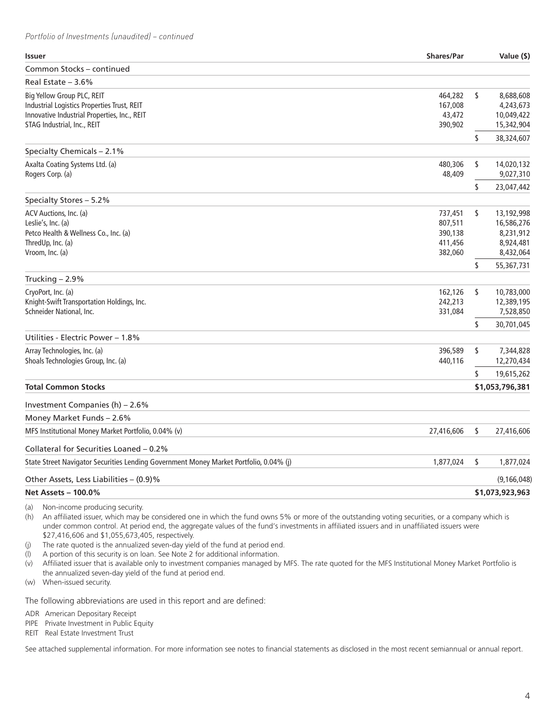## *Portfolio of Investments (unaudited) – continued*

| Common Stocks - continued<br>Real Estate $-3.6%$<br>8,688,608<br>Big Yellow Group PLC, REIT<br>464,282<br>\$<br>Industrial Logistics Properties Trust, REIT<br>167,008<br>4,243,673<br>Innovative Industrial Properties, Inc., REIT<br>43,472<br>10,049,422<br>STAG Industrial, Inc., REIT<br>390,902<br>15,342,904<br>\$<br>38,324,607<br>Specialty Chemicals - 2.1%<br>Axalta Coating Systems Ltd. (a)<br>480,306<br>\$<br>14,020,132<br>Rogers Corp. (a)<br>48,409<br>9,027,310<br>\$<br>23,047,442<br>Specialty Stores - 5.2%<br>ACV Auctions, Inc. (a)<br>\$<br>737,451<br>13,192,998<br>Leslie's, Inc. (a)<br>807,511<br>16,586,276<br>Petco Health & Wellness Co., Inc. (a)<br>390,138<br>8,231,912<br>ThredUp, Inc. (a)<br>411,456<br>8,924,481<br>Vroom, Inc. (a)<br>8,432,064<br>382,060<br>55,367,731<br>\$<br>Trucking $-2.9%$<br>CryoPort, Inc. (a)<br>162,126<br>\$<br>10,783,000<br>Knight-Swift Transportation Holdings, Inc.<br>242,213<br>12,389,195<br>Schneider National, Inc.<br>7,528,850<br>331,084<br>\$<br>30,701,045<br>Utilities - Electric Power – 1.8%<br>Array Technologies, Inc. (a)<br>396,589<br>7,344,828<br>\$<br>Shoals Technologies Group, Inc. (a)<br>440,116<br>12,270,434<br>\$<br>19,615,262<br><b>Total Common Stocks</b><br>\$1,053,796,381<br>Investment Companies (h) - 2.6%<br>Money Market Funds - 2.6%<br>MFS Institutional Money Market Portfolio, 0.04% (v)<br>27,416,606<br>\$<br>27,416,606<br>Collateral for Securities Loaned - 0.2%<br>State Street Navigator Securities Lending Government Money Market Portfolio, 0.04% (j)<br>1,877,024<br>\$<br>1,877,024<br>Other Assets, Less Liabilities – (0.9)%<br>(9, 166, 048)<br><b>Net Assets - 100.0%</b><br>\$1,073,923,963 | <b>Issuer</b> | <b>Shares/Par</b> | Value (\$) |
|-----------------------------------------------------------------------------------------------------------------------------------------------------------------------------------------------------------------------------------------------------------------------------------------------------------------------------------------------------------------------------------------------------------------------------------------------------------------------------------------------------------------------------------------------------------------------------------------------------------------------------------------------------------------------------------------------------------------------------------------------------------------------------------------------------------------------------------------------------------------------------------------------------------------------------------------------------------------------------------------------------------------------------------------------------------------------------------------------------------------------------------------------------------------------------------------------------------------------------------------------------------------------------------------------------------------------------------------------------------------------------------------------------------------------------------------------------------------------------------------------------------------------------------------------------------------------------------------------------------------------------------------------------------------------------------------------------------------------------------|---------------|-------------------|------------|
|                                                                                                                                                                                                                                                                                                                                                                                                                                                                                                                                                                                                                                                                                                                                                                                                                                                                                                                                                                                                                                                                                                                                                                                                                                                                                                                                                                                                                                                                                                                                                                                                                                                                                                                                   |               |                   |            |
|                                                                                                                                                                                                                                                                                                                                                                                                                                                                                                                                                                                                                                                                                                                                                                                                                                                                                                                                                                                                                                                                                                                                                                                                                                                                                                                                                                                                                                                                                                                                                                                                                                                                                                                                   |               |                   |            |
|                                                                                                                                                                                                                                                                                                                                                                                                                                                                                                                                                                                                                                                                                                                                                                                                                                                                                                                                                                                                                                                                                                                                                                                                                                                                                                                                                                                                                                                                                                                                                                                                                                                                                                                                   |               |                   |            |
|                                                                                                                                                                                                                                                                                                                                                                                                                                                                                                                                                                                                                                                                                                                                                                                                                                                                                                                                                                                                                                                                                                                                                                                                                                                                                                                                                                                                                                                                                                                                                                                                                                                                                                                                   |               |                   |            |
|                                                                                                                                                                                                                                                                                                                                                                                                                                                                                                                                                                                                                                                                                                                                                                                                                                                                                                                                                                                                                                                                                                                                                                                                                                                                                                                                                                                                                                                                                                                                                                                                                                                                                                                                   |               |                   |            |
|                                                                                                                                                                                                                                                                                                                                                                                                                                                                                                                                                                                                                                                                                                                                                                                                                                                                                                                                                                                                                                                                                                                                                                                                                                                                                                                                                                                                                                                                                                                                                                                                                                                                                                                                   |               |                   |            |
|                                                                                                                                                                                                                                                                                                                                                                                                                                                                                                                                                                                                                                                                                                                                                                                                                                                                                                                                                                                                                                                                                                                                                                                                                                                                                                                                                                                                                                                                                                                                                                                                                                                                                                                                   |               |                   |            |
|                                                                                                                                                                                                                                                                                                                                                                                                                                                                                                                                                                                                                                                                                                                                                                                                                                                                                                                                                                                                                                                                                                                                                                                                                                                                                                                                                                                                                                                                                                                                                                                                                                                                                                                                   |               |                   |            |
|                                                                                                                                                                                                                                                                                                                                                                                                                                                                                                                                                                                                                                                                                                                                                                                                                                                                                                                                                                                                                                                                                                                                                                                                                                                                                                                                                                                                                                                                                                                                                                                                                                                                                                                                   |               |                   |            |
|                                                                                                                                                                                                                                                                                                                                                                                                                                                                                                                                                                                                                                                                                                                                                                                                                                                                                                                                                                                                                                                                                                                                                                                                                                                                                                                                                                                                                                                                                                                                                                                                                                                                                                                                   |               |                   |            |
|                                                                                                                                                                                                                                                                                                                                                                                                                                                                                                                                                                                                                                                                                                                                                                                                                                                                                                                                                                                                                                                                                                                                                                                                                                                                                                                                                                                                                                                                                                                                                                                                                                                                                                                                   |               |                   |            |
|                                                                                                                                                                                                                                                                                                                                                                                                                                                                                                                                                                                                                                                                                                                                                                                                                                                                                                                                                                                                                                                                                                                                                                                                                                                                                                                                                                                                                                                                                                                                                                                                                                                                                                                                   |               |                   |            |
|                                                                                                                                                                                                                                                                                                                                                                                                                                                                                                                                                                                                                                                                                                                                                                                                                                                                                                                                                                                                                                                                                                                                                                                                                                                                                                                                                                                                                                                                                                                                                                                                                                                                                                                                   |               |                   |            |
|                                                                                                                                                                                                                                                                                                                                                                                                                                                                                                                                                                                                                                                                                                                                                                                                                                                                                                                                                                                                                                                                                                                                                                                                                                                                                                                                                                                                                                                                                                                                                                                                                                                                                                                                   |               |                   |            |
|                                                                                                                                                                                                                                                                                                                                                                                                                                                                                                                                                                                                                                                                                                                                                                                                                                                                                                                                                                                                                                                                                                                                                                                                                                                                                                                                                                                                                                                                                                                                                                                                                                                                                                                                   |               |                   |            |
|                                                                                                                                                                                                                                                                                                                                                                                                                                                                                                                                                                                                                                                                                                                                                                                                                                                                                                                                                                                                                                                                                                                                                                                                                                                                                                                                                                                                                                                                                                                                                                                                                                                                                                                                   |               |                   |            |
|                                                                                                                                                                                                                                                                                                                                                                                                                                                                                                                                                                                                                                                                                                                                                                                                                                                                                                                                                                                                                                                                                                                                                                                                                                                                                                                                                                                                                                                                                                                                                                                                                                                                                                                                   |               |                   |            |
|                                                                                                                                                                                                                                                                                                                                                                                                                                                                                                                                                                                                                                                                                                                                                                                                                                                                                                                                                                                                                                                                                                                                                                                                                                                                                                                                                                                                                                                                                                                                                                                                                                                                                                                                   |               |                   |            |
|                                                                                                                                                                                                                                                                                                                                                                                                                                                                                                                                                                                                                                                                                                                                                                                                                                                                                                                                                                                                                                                                                                                                                                                                                                                                                                                                                                                                                                                                                                                                                                                                                                                                                                                                   |               |                   |            |
|                                                                                                                                                                                                                                                                                                                                                                                                                                                                                                                                                                                                                                                                                                                                                                                                                                                                                                                                                                                                                                                                                                                                                                                                                                                                                                                                                                                                                                                                                                                                                                                                                                                                                                                                   |               |                   |            |
|                                                                                                                                                                                                                                                                                                                                                                                                                                                                                                                                                                                                                                                                                                                                                                                                                                                                                                                                                                                                                                                                                                                                                                                                                                                                                                                                                                                                                                                                                                                                                                                                                                                                                                                                   |               |                   |            |
|                                                                                                                                                                                                                                                                                                                                                                                                                                                                                                                                                                                                                                                                                                                                                                                                                                                                                                                                                                                                                                                                                                                                                                                                                                                                                                                                                                                                                                                                                                                                                                                                                                                                                                                                   |               |                   |            |
|                                                                                                                                                                                                                                                                                                                                                                                                                                                                                                                                                                                                                                                                                                                                                                                                                                                                                                                                                                                                                                                                                                                                                                                                                                                                                                                                                                                                                                                                                                                                                                                                                                                                                                                                   |               |                   |            |
|                                                                                                                                                                                                                                                                                                                                                                                                                                                                                                                                                                                                                                                                                                                                                                                                                                                                                                                                                                                                                                                                                                                                                                                                                                                                                                                                                                                                                                                                                                                                                                                                                                                                                                                                   |               |                   |            |
|                                                                                                                                                                                                                                                                                                                                                                                                                                                                                                                                                                                                                                                                                                                                                                                                                                                                                                                                                                                                                                                                                                                                                                                                                                                                                                                                                                                                                                                                                                                                                                                                                                                                                                                                   |               |                   |            |
|                                                                                                                                                                                                                                                                                                                                                                                                                                                                                                                                                                                                                                                                                                                                                                                                                                                                                                                                                                                                                                                                                                                                                                                                                                                                                                                                                                                                                                                                                                                                                                                                                                                                                                                                   |               |                   |            |
|                                                                                                                                                                                                                                                                                                                                                                                                                                                                                                                                                                                                                                                                                                                                                                                                                                                                                                                                                                                                                                                                                                                                                                                                                                                                                                                                                                                                                                                                                                                                                                                                                                                                                                                                   |               |                   |            |
|                                                                                                                                                                                                                                                                                                                                                                                                                                                                                                                                                                                                                                                                                                                                                                                                                                                                                                                                                                                                                                                                                                                                                                                                                                                                                                                                                                                                                                                                                                                                                                                                                                                                                                                                   |               |                   |            |
|                                                                                                                                                                                                                                                                                                                                                                                                                                                                                                                                                                                                                                                                                                                                                                                                                                                                                                                                                                                                                                                                                                                                                                                                                                                                                                                                                                                                                                                                                                                                                                                                                                                                                                                                   |               |                   |            |
|                                                                                                                                                                                                                                                                                                                                                                                                                                                                                                                                                                                                                                                                                                                                                                                                                                                                                                                                                                                                                                                                                                                                                                                                                                                                                                                                                                                                                                                                                                                                                                                                                                                                                                                                   |               |                   |            |
|                                                                                                                                                                                                                                                                                                                                                                                                                                                                                                                                                                                                                                                                                                                                                                                                                                                                                                                                                                                                                                                                                                                                                                                                                                                                                                                                                                                                                                                                                                                                                                                                                                                                                                                                   |               |                   |            |
|                                                                                                                                                                                                                                                                                                                                                                                                                                                                                                                                                                                                                                                                                                                                                                                                                                                                                                                                                                                                                                                                                                                                                                                                                                                                                                                                                                                                                                                                                                                                                                                                                                                                                                                                   |               |                   |            |
|                                                                                                                                                                                                                                                                                                                                                                                                                                                                                                                                                                                                                                                                                                                                                                                                                                                                                                                                                                                                                                                                                                                                                                                                                                                                                                                                                                                                                                                                                                                                                                                                                                                                                                                                   |               |                   |            |

(a) Non-income producing security.

(h) An affiliated issuer, which may be considered one in which the fund owns 5% or more of the outstanding voting securities, or a company which is under common control. At period end, the aggregate values of the fund's investments in affiliated issuers and in unaffiliated issuers were \$27,416,606 and \$1,055,673,405, respectively.

(j) The rate quoted is the annualized seven-day yield of the fund at period end.

(l) A portion of this security is on loan. See Note 2 for additional information.

(v) Affiliated issuer that is available only to investment companies managed by MFS. The rate quoted for the MFS Institutional Money Market Portfolio is the annualized seven-day yield of the fund at period end.

(w) When-issued security.

The following abbreviations are used in this report and are defined:

ADR American Depositary Receipt

PIPE Private Investment in Public Equity

REIT Real Estate Investment Trust

See attached supplemental information. For more information see notes to financial statements as disclosed in the most recent semiannual or annual report.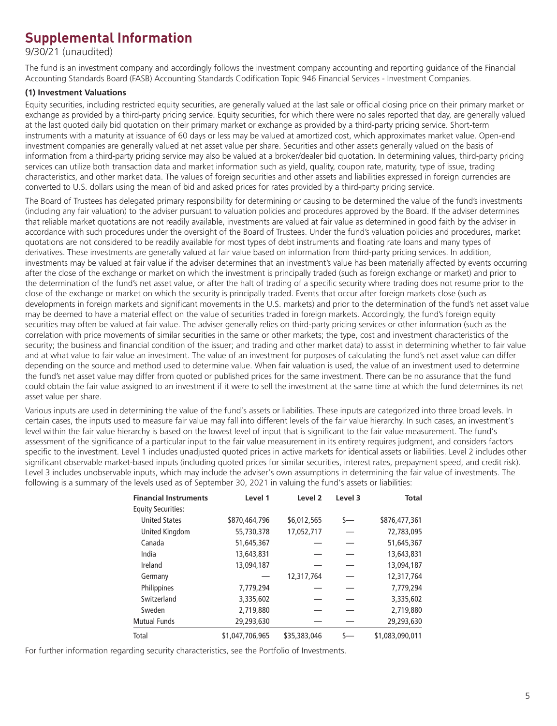# **Supplemental Information**

9/30/21 (unaudited)

The fund is an investment company and accordingly follows the investment company accounting and reporting guidance of the Financial Accounting Standards Board (FASB) Accounting Standards Codification Topic 946 Financial Services - Investment Companies.

## **(1) Investment Valuations**

Equity securities, including restricted equity securities, are generally valued at the last sale or official closing price on their primary market or exchange as provided by a third-party pricing service. Equity securities, for which there were no sales reported that day, are generally valued at the last quoted daily bid quotation on their primary market or exchange as provided by a third-party pricing service. Short-term instruments with a maturity at issuance of 60 days or less may be valued at amortized cost, which approximates market value. Open-end investment companies are generally valued at net asset value per share. Securities and other assets generally valued on the basis of information from a third-party pricing service may also be valued at a broker/dealer bid quotation. In determining values, third-party pricing services can utilize both transaction data and market information such as yield, quality, coupon rate, maturity, type of issue, trading characteristics, and other market data. The values of foreign securities and other assets and liabilities expressed in foreign currencies are converted to U.S. dollars using the mean of bid and asked prices for rates provided by a third-party pricing service.

The Board of Trustees has delegated primary responsibility for determining or causing to be determined the value of the fund's investments (including any fair valuation) to the adviser pursuant to valuation policies and procedures approved by the Board. If the adviser determines that reliable market quotations are not readily available, investments are valued at fair value as determined in good faith by the adviser in accordance with such procedures under the oversight of the Board of Trustees. Under the fund's valuation policies and procedures, market quotations are not considered to be readily available for most types of debt instruments and floating rate loans and many types of derivatives. These investments are generally valued at fair value based on information from third-party pricing services. In addition, investments may be valued at fair value if the adviser determines that an investment's value has been materially affected by events occurring after the close of the exchange or market on which the investment is principally traded (such as foreign exchange or market) and prior to the determination of the fund's net asset value, or after the halt of trading of a specific security where trading does not resume prior to the close of the exchange or market on which the security is principally traded. Events that occur after foreign markets close (such as developments in foreign markets and significant movements in the U.S. markets) and prior to the determination of the fund's net asset value may be deemed to have a material effect on the value of securities traded in foreign markets. Accordingly, the fund's foreign equity securities may often be valued at fair value. The adviser generally relies on third-party pricing services or other information (such as the correlation with price movements of similar securities in the same or other markets; the type, cost and investment characteristics of the security; the business and financial condition of the issuer; and trading and other market data) to assist in determining whether to fair value and at what value to fair value an investment. The value of an investment for purposes of calculating the fund's net asset value can differ depending on the source and method used to determine value. When fair valuation is used, the value of an investment used to determine the fund's net asset value may differ from quoted or published prices for the same investment. There can be no assurance that the fund could obtain the fair value assigned to an investment if it were to sell the investment at the same time at which the fund determines its net asset value per share.

Various inputs are used in determining the value of the fund's assets or liabilities. These inputs are categorized into three broad levels. In certain cases, the inputs used to measure fair value may fall into different levels of the fair value hierarchy. In such cases, an investment's level within the fair value hierarchy is based on the lowest level of input that is significant to the fair value measurement. The fund's assessment of the significance of a particular input to the fair value measurement in its entirety requires judgment, and considers factors specific to the investment. Level 1 includes unadjusted quoted prices in active markets for identical assets or liabilities. Level 2 includes other significant observable market-based inputs (including quoted prices for similar securities, interest rates, prepayment speed, and credit risk). Level 3 includes unobservable inputs, which may include the adviser's own assumptions in determining the fair value of investments. The following is a summary of the levels used as of September 30, 2021 in valuing the fund's assets or liabilities:

| <b>Financial Instruments</b> | Level 1         | Level <sub>2</sub> | Level 3 | <b>Total</b>    |
|------------------------------|-----------------|--------------------|---------|-----------------|
| <b>Equity Securities:</b>    |                 |                    |         |                 |
| <b>United States</b>         | \$870,464,796   | \$6,012,565        | $s-$    | \$876,477,361   |
| United Kingdom               | 55,730,378      | 17,052,717         |         | 72,783,095      |
| Canada                       | 51,645,367      |                    |         | 51,645,367      |
| India                        | 13,643,831      |                    |         | 13,643,831      |
| Ireland                      | 13,094,187      |                    |         | 13,094,187      |
| Germany                      |                 | 12,317,764         |         | 12,317,764      |
| Philippines                  | 7,779,294       |                    |         | 7,779,294       |
| Switzerland                  | 3,335,602       |                    |         | 3,335,602       |
| Sweden                       | 2,719,880       |                    |         | 2,719,880       |
| <b>Mutual Funds</b>          | 29,293,630      |                    |         | 29,293,630      |
| Total                        | \$1,047,706,965 | \$35,383,046       |         | \$1,083,090,011 |

For further information regarding security characteristics, see the Portfolio of Investments.